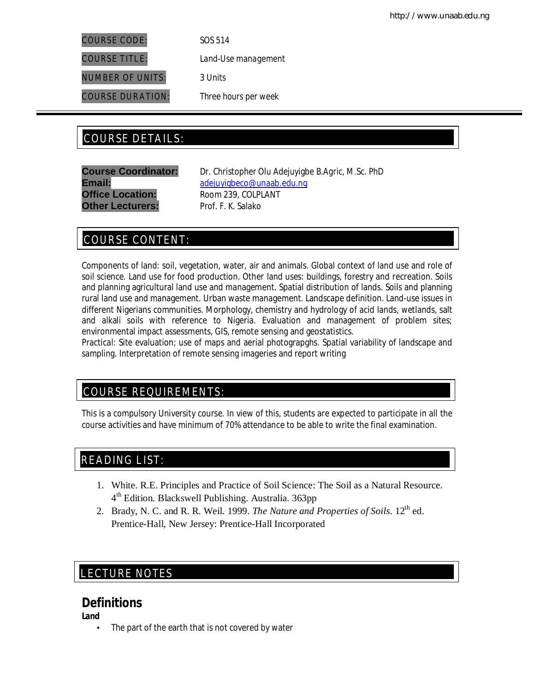COURSE CODE: *SOS 514*

COURSE TITLE: *Land-Use management*

NUMBER OF UNITS: *3 Units*

COURSE DURATION: *Three hours per week*

# COURSE DETAILS: COURSE DETAILS:

**Office Location:** Room 239, COLPLANT **Other Lecturers:** Prof. F. K. Salako

**Course Coordinator:** Dr. Christopher Olu Adejuyigbe *B.Agric, M.Sc. PhD* Email: adejuyigbeco@unaab.edu.ng

# COURSE CONTENT:

Components of land: soil, vegetation, water, air and animals. Global context of land use and role of soil science. Land use for food production. Other land uses: buildings, forestry and recreation. Soils and planning agricultural land use and management. Spatial distribution of lands. Soils and planning rural land use and management. Urban waste management. Landscape definition. Land-use issues in different Nigerians communities. Morphology, chemistry and hydrology of acid lands, wetlands, salt and alkali soils with reference to Nigeria. Evaluation and management of problem sites; environmental impact assessments, GIS, remote sensing and geostatistics.

*Practical*: Site evaluation; use of maps and aerial photograpghs. Spatial variability of landscape and sampling. Interpretation of remote sensing imageries and report writing

# COURSE REQUIREMENTS:

This is a compulsory University course. In view of this, students are expected to participate in all the course activities and have minimum of 70% attendance to be able to write the final examination.

# READING LIST:

- 1. White. R.E. Principles and Practice of Soil Science: The Soil as a Natural Resource. 4 th Edition. Blackswell Publishing. Australia. 363pp
- 2. Brady, N. C. and R. R. Weil. 1999. *The Nature and Properties of Soils*. 12<sup>th</sup> ed. Prentice-Hall, New Jersey: Prentice-Hall Incorporated

# E LECTURE NOTES

# **Definitions**

**Land**

• The part of the earth that is not covered by water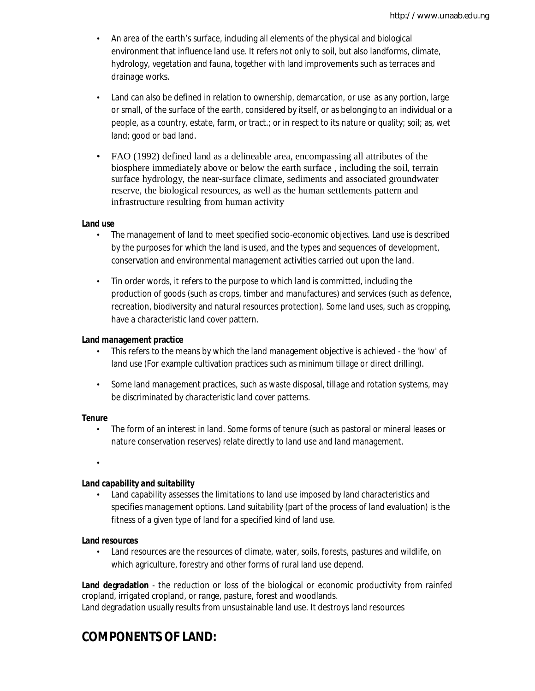- An area of the earth's surface, including all elements of the physical and biological environment that influence land use. It refers not only to soil, but also landforms, climate, hydrology, vegetation and fauna, together with land improvements such as terraces and drainage works.
- Land can also be defined in relation to ownership, demarcation, or use as any portion, large or small, of the surface of the earth, considered by itself, or as belonging to an individual or a people, as a country, estate, farm, or tract.; or in respect to its nature or quality; soil; as, wet land; good or bad land.
- FAO (1992) defined land as a delineable area, encompassing all attributes of the biosphere immediately above or below the earth surface , including the soil, terrain surface hydrology, the near-surface climate, sediments and associated groundwater reserve, the biological resources, as well as the human settlements pattern and infrastructure resulting from human activity

## **Land use**

- The management of land to meet specified socio-economic objectives. Land use is described by the purposes for which the land is used, and the types and sequences of development, conservation and environmental management activities carried out upon the land.
- Tin order words, it refers to the purpose to which land is committed, including the production of goods (such as crops, timber and manufactures) and services (such as defence, recreation, biodiversity and natural resources protection). Some land uses, such as cropping, have a characteristic land cover pattern.

#### **Land management practice**

- This refers to the means by which the land management objective is achieved the 'how' of land use (For example cultivation practices such as minimum tillage or direct drilling).
- Some land management practices, such as waste disposal, tillage and rotation systems, may be discriminated by characteristic land cover patterns.

#### *Tenure*

- The form of an interest in land. Some forms of tenure (such as pastoral or mineral leases or nature conservation reserves) relate directly to land use and land management.
- •

## *Land capability and suitability*

• Land capability assesses the limitations to land use imposed by land characteristics and specifies management options. Land suitability (part of the process of land evaluation) is the fitness of a given type of land for a specified kind of land use.

## **Land resources**

Land resources are the resources of climate, water, soils, forests, pastures and wildlife, on which agriculture, forestry and other forms of rural land use depend.

**Land degradation** - the reduction or loss of the biological or economic productivity from rainfed cropland, irrigated cropland, or range, pasture, forest and woodlands. Land degradation usually results from unsustainable land use. It destroys land resources

# **COMPONENTS OF LAND:**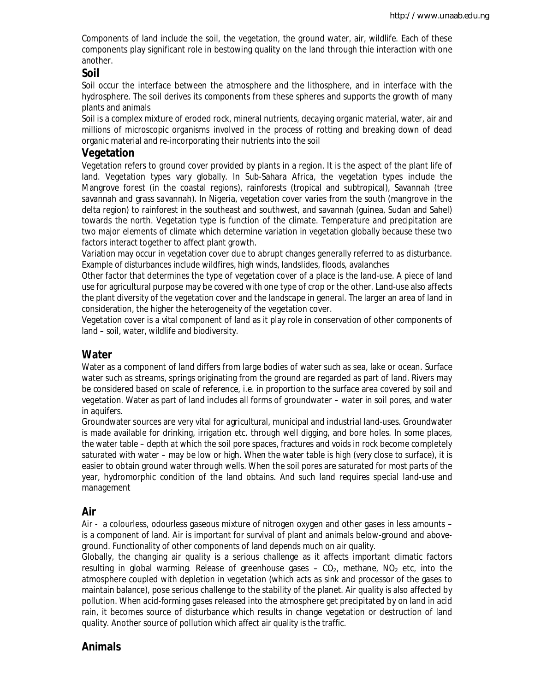Components of land include the soil, the vegetation, the ground water, air, wildlife. Each of these components play significant role in bestowing quality on the land through thie interaction with one another.

## **Soil**

Soil occur the interface between the atmosphere and the lithosphere, and in interface with the hydrosphere. The soil derives its components from these spheres and supports the growth of many plants and animals

Soil is a complex mixture of eroded rock, mineral nutrients, decaying organic material, water, air and millions of microscopic organisms involved in the process of rotting and breaking down of dead organic material and re-incorporating their nutrients into the soil

## **Vegetation**

Vegetation refers to ground cover provided by plants in a region. It is the aspect of the plant life of land. Vegetation types vary globally. In Sub-Sahara Africa, the vegetation types include the Mangrove forest (in the coastal regions), rainforests (tropical and subtropical), Savannah (tree savannah and grass savannah). In Nigeria, vegetation cover varies from the south (mangrove in the delta region) to rainforest in the southeast and southwest, and savannah (guinea, Sudan and Sahel) towards the north. Vegetation type is function of the climate. Temperature and precipitation are two major elements of climate which determine variation in vegetation globally because these two factors interact together to affect plant growth.

Variation may occur in vegetation cover due to abrupt changes generally referred to as disturbance. Example of disturbances include wildfires, high winds, landslides, floods, avalanches

Other factor that determines the type of vegetation cover of a place is the land-use. A piece of land use for agricultural purpose may be covered with one type of crop or the other. Land-use also affects the plant diversity of the vegetation cover and the landscape in general. The larger an area of land in consideration, the higher the heterogeneity of the vegetation cover.

Vegetation cover is a vital component of land as it play role in conservation of other components of land – soil, water, wildlife and biodiversity.

## **Water**

Water as a component of land differs from large bodies of water such as sea, lake or ocean. Surface water such as streams, springs originating from the ground are regarded as part of land. Rivers may be considered based on scale of reference, *i.e.* in proportion to the surface area covered by soil and vegetation. Water as part of land includes all forms of groundwater – water in soil pores, and water in aquifers.

Groundwater sources are very vital for agricultural, municipal and industrial land-uses. Groundwater is made available for drinking, irrigation etc. through well digging, and bore holes. In some places, the water table – depth at which the soil pore spaces, fractures and voids in rock become completely saturated with water – may be low or high. When the water table is high (very close to surface), it is easier to obtain ground water through wells. When the soil pores are saturated for most parts of the year, hydromorphic condition of the land obtains. And such land requires special land-use and management

## **Air**

Air - a colourless, odourless gaseous mixture of nitrogen oxygen and other gases in less amounts – is a component of land. Air is important for survival of plant and animals below-ground and aboveground. Functionality of other components of land depends much on air quality.

Globally, the changing air quality is a serious challenge as it affects important climatic factors resulting in global warming. Release of greenhouse gases  $-$  CO<sub>2</sub>, methane, NO<sub>2</sub> etc, into the atmosphere coupled with depletion in vegetation (which acts as sink and processor of the gases to maintain balance), pose serious challenge to the stability of the planet. Air quality is also affected by pollution. When acid-forming gases released into the atmosphere get precipitated by on land in acid rain, it becomes source of disturbance which results in change vegetation or destruction of land quality. Another source of pollution which affect air quality is the traffic.

# **Animals**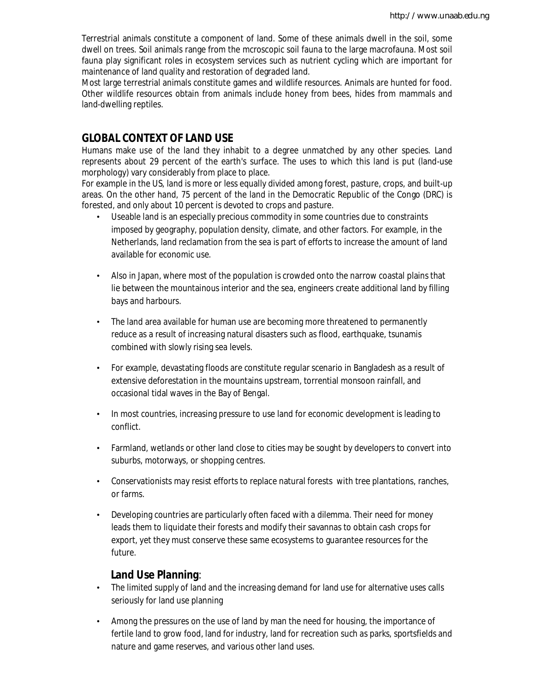Terrestrial animals constitute a component of land. Some of these animals dwell in the soil, some dwell on trees. Soil animals range from the mcroscopic soil fauna to the large macrofauna. Most soil fauna play significant roles in ecosystem services such as nutrient cycling which are important for maintenance of land quality and restoration of degraded land.

Most large terrestrial animals constitute games and wildlife resources. Animals are hunted for food. Other wildlife resources obtain from animals include honey from bees, hides from mammals and land-dwelling reptiles.

## **GLOBAL CONTEXT OF LAND USE**

Humans make use of the land they inhabit to a degree unmatched by any other species. Land represents about 29 percent of the earth's surface. The uses to which this land is put (land-use morphology) vary considerably from place to place.

For example in the US, land is more or less equally divided among forest, pasture, crops, and built-up areas. On the other hand, 75 percent of the land in the Democratic Republic of the Congo (DRC) is forested, and only about 10 percent is devoted to crops and pasture.

- Useable land is an especially precious commodity in some countries due to constraints imposed by geography, population density, climate, and other factors. For example, in the Netherlands, land reclamation from the sea is part of efforts to increase the amount of land available for economic use.
- Also in Japan, where most of the population is crowded onto the narrow coastal plains that lie between the mountainous interior and the sea, engineers create additional land by filling bays and harbours.
- The land area available for human use are becoming more threatened to permanently reduce as a result of increasing natural disasters such as flood, earthquake, tsunamis combined with slowly rising sea levels.
- For example, devastating floods are constitute regular scenario in Bangladesh as a result of extensive deforestation in the mountains upstream, torrential monsoon rainfall, and occasional tidal waves in the Bay of Bengal.
- In most countries, increasing pressure to use land for economic development is leading to conflict.
- Farmland, wetlands or other land close to cities may be sought by developers to convert into suburbs, motorways, or shopping centres.
- Conservationists may resist efforts to replace natural forests with tree plantations, ranches, or farms.
- Developing countries are particularly often faced with a dilemma. Their need for money leads them to liquidate their forests and modify their savannas to obtain cash crops for export, yet they must conserve these same ecosystems to guarantee resources for the future.

## **Land Use Planning**:

- The limited supply of land and the increasing demand for land use for alternative uses calls seriously for land use planning
- Among the pressures on the use of land by man the need for housing, the importance of fertile land to grow food, land for industry, land for recreation such as parks, sportsfields and nature and game reserves, and various other land uses.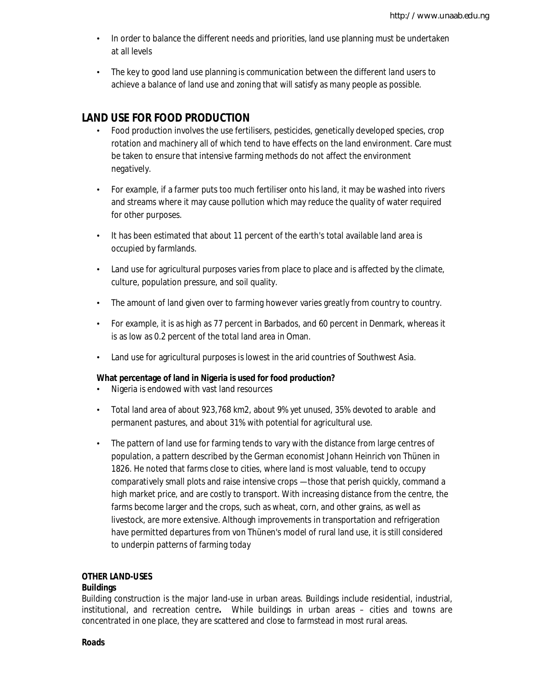- In order to balance the different needs and priorities, land use planning must be undertaken at all levels
- The key to good land use planning is communication between the different land users to achieve a balance of land use and zoning that will satisfy as many people as possible.

# **LAND USE FOR FOOD PRODUCTION**

- Food production involves the use fertilisers, pesticides, genetically developed species, crop rotation and machinery all of which tend to have effects on the land environment. Care must be taken to ensure that intensive farming methods do not affect the environment negatively.
- For example, if a farmer puts too much fertiliser onto his land, it may be washed into rivers and streams where it may cause pollution which may reduce the quality of water required for other purposes.
- It has been estimated that about 11 percent of the earth's total available land area is occupied by farmlands.
- Land use for agricultural purposes varies from place to place and is affected by the climate, culture, population pressure, and soil quality.
- The amount of land given over to farming however varies greatly from country to country.
- For example, it is as high as 77 percent in Barbados, and 60 percent in Denmark, whereas it is as low as 0.2 percent of the total land area in Oman.
- Land use for agricultural purposes is lowest in the arid countries of Southwest Asia.

#### **What percentage of land in Nigeria is used for food production?**

- Nigeria is endowed with vast land resources
- Total land area of about 923,768 km2, about 9% yet unused, 35% devoted to arable and permanent pastures, and about 31% with potential for agricultural use.
- The pattern of land use for farming tends to vary with the distance from large centres of population, a pattern described by the German economist Johann Heinrich von Thünen in 1826. He noted that farms close to cities, where land is most valuable, tend to occupy comparatively small plots and raise intensive crops —those that perish quickly, command a high market price, and are costly to transport. With increasing distance from the centre, the farms become larger and the crops, such as wheat, corn, and other grains, as well as livestock, are more extensive. Although improvements in transportation and refrigeration have permitted departures from von Thünen's model of rural land use, it is still considered to underpin patterns of farming today

#### **OTHER LAND-USES**

#### **Buildings**

Building construction is the major land-use in urban areas. Buildings include residential, industrial, institutional, and recreation centre**.** While buildings in urban areas – cities and towns are concentrated in one place, they are scattered and close to farmstead in most rural areas.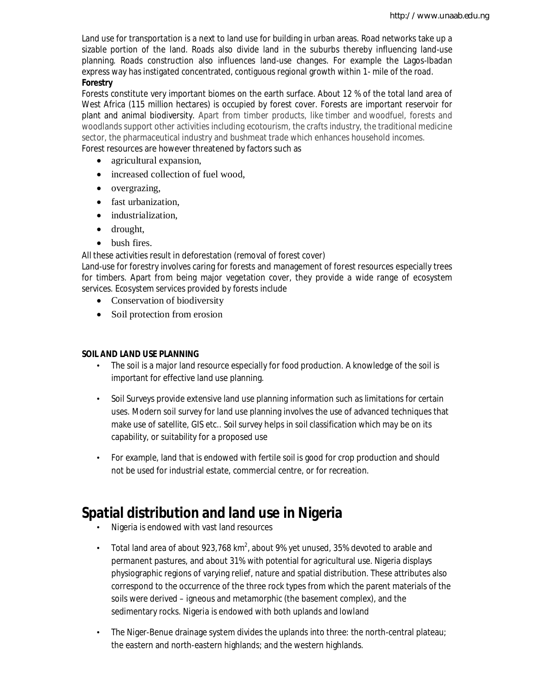Land use for transportation is a next to land use for building in urban areas. Road networks take up a sizable portion of the land. Roads also divide land in the suburbs thereby influencing land-use planning. Roads construction also influences land-use changes. For example the Lagos-Ibadan express way has instigated concentrated, contiguous regional growth within 1- mile of the road.

## **Forestry**

Forests constitute very important biomes on the earth surface. About 12 % of the total land area of West Africa (115 million hectares) is occupied by forest cover. Forests are important reservoir for plant and animal biodiversity. Apart from timber products, like timber and woodfuel, forests and woodlands support other activities including ecotourism, the crafts industry, the traditional medicine sector, the pharmaceutical industry and bushmeat trade which enhances household incomes. Forest resources are however threatened by factors such as

- agricultural expansion,
- increased collection of fuel wood,
- overgrazing,
- fast urbanization,
- industrialization,
- drought,
- bush fires.

All these activities result in deforestation (removal of forest cover)

Land-use for forestry involves caring for forests and management of forest resources especially trees for timbers. Apart from being major vegetation cover, they provide a wide range of ecosystem services. Ecosystem services provided by forests include

- Conservation of biodiversity
- Soil protection from erosion

## **SOIL AND LAND USE PLANNING**

- The soil is a major land resource especially for food production. A knowledge of the soil is important for effective land use planning.
- Soil Surveys provide extensive land use planning information such as limitations for certain uses. Modern soil survey for land use planning involves the use of advanced techniques that make use of satellite, GIS etc.. Soil survey helps in soil classification which may be on its capability, or suitability for a proposed use
- For example, land that is endowed with fertile soil is good for crop production and should not be used for industrial estate, commercial centre, or for recreation.

# **Spatial distribution and land use in Nigeria**

- Nigeria is endowed with vast land resources
- Total land area of about 923,768 km<sup>2</sup>, about 9% yet unused, 35% devoted to arable and permanent pastures, and about 31% with potential for agricultural use. Nigeria displays physiographic regions of varying relief, nature and spatial distribution. These attributes also correspond to the occurrence of the three rock types from which the parent materials of the soils were derived – igneous and metamorphic (the basement complex), and the sedimentary rocks. Nigeria is endowed with both uplands and lowland
- The Niger-Benue drainage system divides the uplands into three: the north-central plateau; the eastern and north-eastern highlands; and the western highlands.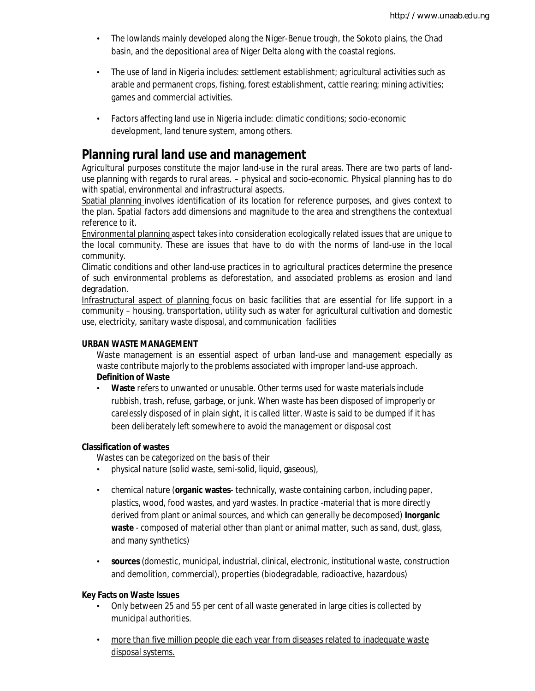- The lowlands mainly developed along the Niger-Benue trough, the Sokoto plains, the Chad basin, and the depositional area of Niger Delta along with the coastal regions.
- The use of land in Nigeria includes: settlement establishment; agricultural activities such as arable and permanent crops, fishing, forest establishment, cattle rearing; mining activities; games and commercial activities.
- Factors affecting land use in Nigeria include: climatic conditions; socio-economic development, land tenure system, among others.

# **Planning rural land use and management**

Agricultural purposes constitute the major land-use in the rural areas. There are two parts of landuse planning with regards to rural areas. – physical and socio-economic. Physical planning has to do with spatial, environmental and infrastructural aspects.

Spatial planning involves identification of its location for reference purposes, and gives context to the plan. Spatial factors add dimensions and magnitude to the area and strengthens the contextual reference to it.

Environmental planning aspect takes into consideration ecologically related issues that are unique to the local community. These are issues that have to do with the norms of land-use in the local community.

Climatic conditions and other land-use practices in to agricultural practices determine the presence of such environmental problems as deforestation, and associated problems as erosion and land degradation.

Infrastructural aspect of planning focus on basic facilities that are essential for life support in a community – housing, transportation, utility such as water for agricultural cultivation and domestic use, electricity, sanitary waste disposal, and communication facilities

#### **URBAN WASTE MANAGEMENT**

Waste management is an essential aspect of urban land-use and management especially as waste contribute majorly to the problems associated with improper land-use approach. **Definition of Waste**

• **Waste** refers to unwanted or unusable. Other terms used for waste materials include rubbish, trash, refuse, garbage, or junk. When waste has been disposed of improperly or carelessly disposed of in plain sight, it is called litter. Waste is said to be dumped if it has been deliberately left somewhere to avoid the management or disposal cost

## **Classification of wastes**

Wastes can be categorized on the basis of their

- *physical nature* (solid waste, semi-solid, liquid, gaseous),
- *chemical nature* (**organic wastes** technically, waste containing carbon, including paper, plastics, wood, food wastes, and yard wastes. In practice -material that is more directly derived from plant or animal sources, and which can generally be decomposed) **Inorganic waste** - composed of material other than plant or animal matter, such as sand, dust, glass, and many synthetics)
- **sources** (domestic, municipal, industrial, clinical, electronic, institutional waste, construction and demolition, commercial), properties (biodegradable, radioactive, hazardous)

## **Key Facts on Waste Issues**

- Only between 25 and 55 per cent of all waste generated in large cities is collected by municipal authorities.
- more than five million people die each year from diseases related to inadequate waste disposal systems.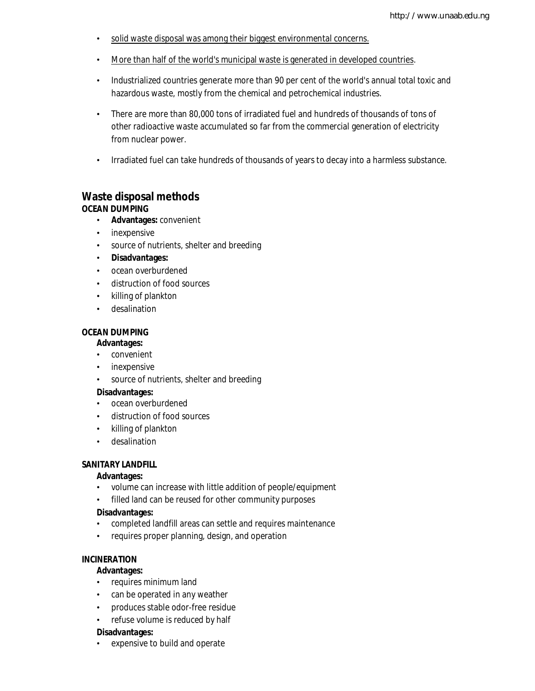- solid waste disposal was among their biggest environmental concerns.
- More than half of the world's municipal waste is generated in developed countries.
- Industrialized countries generate more than 90 per cent of the world's annual total toxic and hazardous waste, mostly from the chemical and petrochemical industries.
- There are more than 80,000 tons of irradiated fuel and hundreds of thousands of tons of other radioactive waste accumulated so far from the commercial generation of electricity from nuclear power.
- Irradiated fuel can take hundreds of thousands of years to decay into a harmless substance.

## **Waste disposal methods OCEAN DUMPING**

- **Advantages:** convenient
- inexpensive
- source of nutrients, shelter and breeding
- **Disadvantages:**
- ocean overburdened
- distruction of food sources
- killing of plankton
- desalination

## **OCEAN DUMPING**

## **Advantages:**

- convenient
- inexpensive
- source of nutrients, shelter and breeding

#### **Disadvantages:**

- ocean overburdened
- distruction of food sources
- killing of plankton
- desalination

#### **SANITARY LANDFILL**

#### **Advantages:**

- volume can increase with little addition of people/equipment
- filled land can be reused for other community purposes

#### **Disadvantages:**

- completed landfill areas can settle and requires maintenance
- requires proper planning, design, and operation

#### **INCINERATION**

#### **Advantages:**

- requires minimum land
- can be operated in any weather
- produces stable odor-free residue
- refuse volume is reduced by half

#### **Disadvantages:**

expensive to build and operate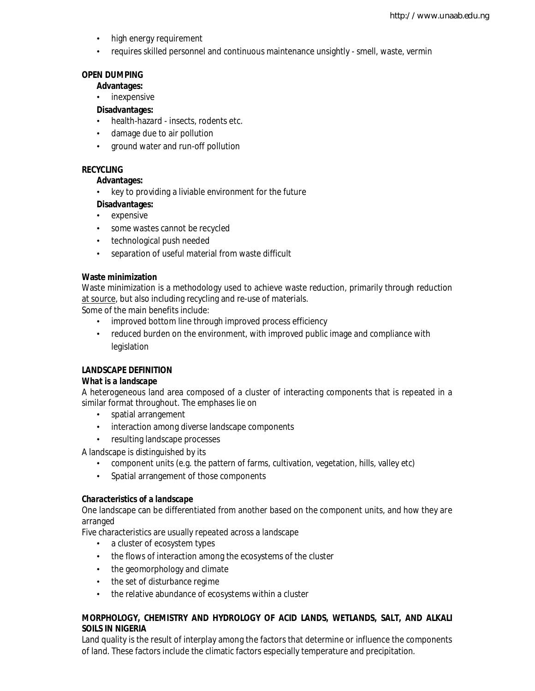- high energy requirement
- requires skilled personnel and continuous maintenance unsightly smell, waste, vermin

## **OPEN DUMPING**

#### **Advantages:**

• inexpensive

## **Disadvantages:**

- health-hazard insects, rodents etc.
- damage due to air pollution
- ground water and run-off pollution

## **RECYCLING**

#### **Advantages:**

• key to providing a liviable environment for the future

## **Disadvantages:**

- expensive
- some wastes cannot be recycled
- technological push needed
- separation of useful material from waste difficult

## **Waste minimization**

Waste minimization is a methodology used to achieve waste reduction, primarily through reduction at source, but also including recycling and re-use of materials.

Some of the main benefits include:

- improved bottom line through improved process efficiency
- reduced burden on the environment, with improved public image and compliance with legislation

## **LANDSCAPE DEFINITION**

## *What is a landscape*

A heterogeneous land area composed of a cluster of interacting components that is repeated in a similar format throughout. The emphases lie on

- spatial arrangement
- interaction among diverse landscape components
- resulting landscape processes

A landscape is distinguished by its

- component units (e.g. the pattern of farms, cultivation, vegetation, hills, valley etc)
- Spatial arrangement of those components

## *Characteristics of a landscape*

One landscape can be differentiated from another based on the component units, and how they are arranged

Five characteristics are usually repeated across a landscape

- a cluster of ecosystem types
- the flows of interaction among the ecosystems of the cluster
- the geomorphology and climate
- the set of disturbance regime
- the relative abundance of ecosystems within a cluster

## **MORPHOLOGY, CHEMISTRY AND HYDROLOGY OF ACID LANDS, WETLANDS, SALT, AND ALKALI SOILS IN NIGERIA**

Land quality is the result of interplay among the factors that determine or influence the components of land. These factors include the climatic factors especially temperature and precipitation.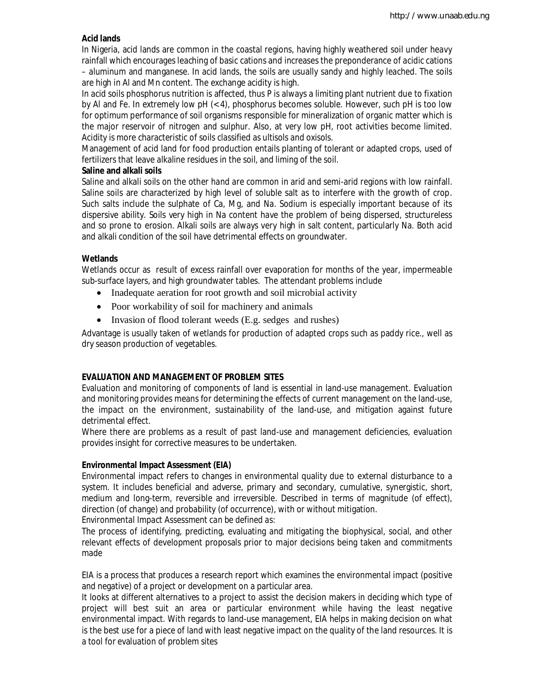## **Acid lands**

In Nigeria, acid lands are common in the coastal regions, having highly weathered soil under heavy rainfall which encourages leaching of basic cations and increases the preponderance of acidic cations – aluminum and manganese. In acid lands, the soils are usually sandy and highly leached. The soils are high in Al and Mn content. The exchange acidity is high.

In acid soils phosphorus nutrition is affected, thus P is always a limiting plant nutrient due to fixation by Al and Fe. In extremely low pH (< 4), phosphorus becomes soluble. However, such pH is too low for optimum performance of soil organisms responsible for mineralization of organic matter which is the major reservoir of nitrogen and sulphur. Also, at very low pH, root activities become limited. Acidity is more characteristic of soils classified as ultisols and oxisols.

Management of acid land for food production entails planting of tolerant or adapted crops, used of fertilizers that leave alkaline residues in the soil, and liming of the soil.

## **Saline and alkali soils**

Saline and alkali soils on the other hand are common in arid and semi-arid regions with low rainfall. Saline soils are characterized by high level of soluble salt as to interfere with the growth of crop. Such salts include the sulphate of Ca, Mg, and Na. Sodium is especially important because of its dispersive ability. Soils very high in Na content have the problem of being dispersed, structureless and so prone to erosion. Alkali soils are always very high in salt content, particularly Na. Both acid and alkali condition of the soil have detrimental effects on groundwater.

## **Wetlands**

Wetlands occur as result of excess rainfall over evaporation for months of the year, impermeable sub-surface layers, and high groundwater tables. The attendant problems include

- Inadequate aeration for root growth and soil microbial activity
- Poor workability of soil for machinery and animals
- Invasion of flood tolerant weeds (E.g. sedges and rushes)

Advantage is usually taken of wetlands for production of adapted crops such as paddy rice., well as dry season production of vegetables.

## **EVALUATION AND MANAGEMENT OF PROBLEM SITES**

Evaluation and monitoring of components of land is essential in land-use management. Evaluation and monitoring provides means for determining the effects of current management on the land-use, the impact on the environment, sustainability of the land-use, and mitigation against future detrimental effect.

Where there are problems as a result of past land-use and management deficiencies, evaluation provides insight for corrective measures to be undertaken.

## **Environmental Impact Assessment (EIA)**

Environmental impact refers to changes in environmental quality due to external disturbance to a system. It includes beneficial and adverse, primary and secondary, cumulative, synergistic, short, medium and long-term, reversible and irreversible. Described in terms of magnitude (of effect), direction (of change) and probability (of occurrence), with or without mitigation.

*Environmental Impact Assessment can be defined as:*

The process of identifying, predicting, evaluating and mitigating the biophysical, social, and other relevant effects of development proposals prior to major decisions being taken and commitments made

EIA is a process that produces a research report which examines the environmental impact (positive and negative) of a project or development on a particular area.

It looks at different alternatives to a project to assist the decision makers in deciding which type of project will best suit an area or particular environment while having the least negative environmental impact. With regards to land-use management, EIA helps in making decision on what is the best use for a piece of land with least negative impact on the quality of the land resources. It is a tool for evaluation of problem sites